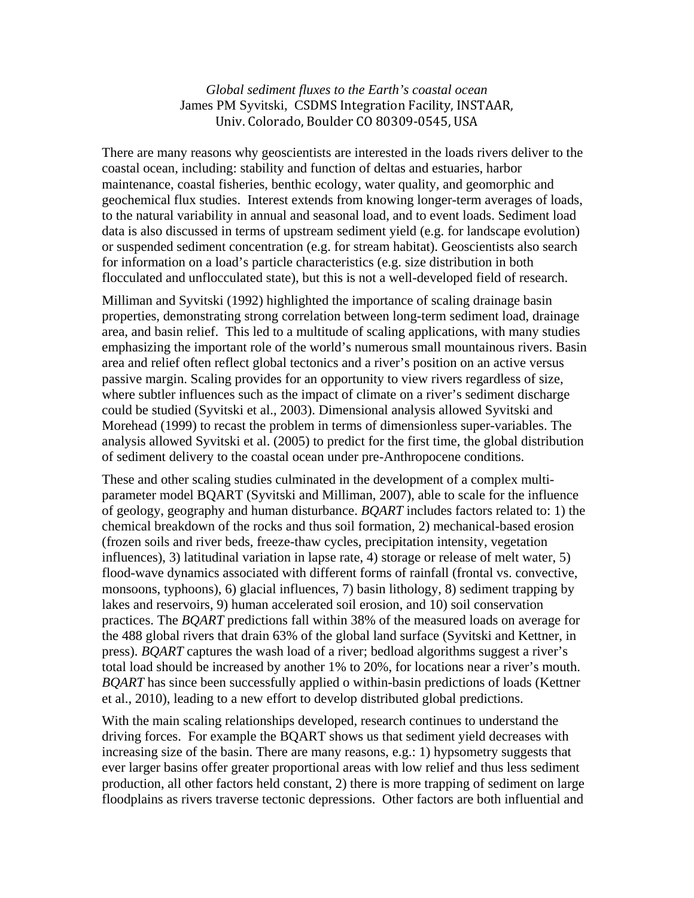*Global sediment fluxes to the Earth's coastal ocean*  James PM Syvitski, CSDMS Integration Facility, INSTAAR, Univ. Colorado, Boulder CO 80309‐0545, USA

There are many reasons why geoscientists are interested in the loads rivers deliver to the coastal ocean, including: stability and function of deltas and estuaries, harbor maintenance, coastal fisheries, benthic ecology, water quality, and geomorphic and geochemical flux studies. Interest extends from knowing longer-term averages of loads, to the natural variability in annual and seasonal load, and to event loads. Sediment load data is also discussed in terms of upstream sediment yield (e.g. for landscape evolution) or suspended sediment concentration (e.g. for stream habitat). Geoscientists also search for information on a load's particle characteristics (e.g. size distribution in both flocculated and unflocculated state), but this is not a well-developed field of research.

Milliman and Syvitski (1992) highlighted the importance of scaling drainage basin properties, demonstrating strong correlation between long-term sediment load, drainage area, and basin relief. This led to a multitude of scaling applications, with many studies emphasizing the important role of the world's numerous small mountainous rivers. Basin area and relief often reflect global tectonics and a river's position on an active versus passive margin. Scaling provides for an opportunity to view rivers regardless of size, where subtler influences such as the impact of climate on a river's sediment discharge could be studied (Syvitski et al., 2003). Dimensional analysis allowed Syvitski and Morehead (1999) to recast the problem in terms of dimensionless super-variables. The analysis allowed Syvitski et al. (2005) to predict for the first time, the global distribution of sediment delivery to the coastal ocean under pre-Anthropocene conditions.

These and other scaling studies culminated in the development of a complex multiparameter model BQART (Syvitski and Milliman, 2007), able to scale for the influence of geology, geography and human disturbance. *BQART* includes factors related to: 1) the chemical breakdown of the rocks and thus soil formation, 2) mechanical-based erosion (frozen soils and river beds, freeze-thaw cycles, precipitation intensity, vegetation influences), 3) latitudinal variation in lapse rate, 4) storage or release of melt water, 5) flood-wave dynamics associated with different forms of rainfall (frontal vs. convective, monsoons, typhoons), 6) glacial influences, 7) basin lithology, 8) sediment trapping by lakes and reservoirs, 9) human accelerated soil erosion, and 10) soil conservation practices. The *BQART* predictions fall within 38% of the measured loads on average for the 488 global rivers that drain 63% of the global land surface (Syvitski and Kettner, in press). *BQART* captures the wash load of a river; bedload algorithms suggest a river's total load should be increased by another 1% to 20%, for locations near a river's mouth. *BQART* has since been successfully applied o within-basin predictions of loads (Kettner et al., 2010), leading to a new effort to develop distributed global predictions.

With the main scaling relationships developed, research continues to understand the driving forces. For example the BQART shows us that sediment yield decreases with increasing size of the basin. There are many reasons, e.g.: 1) hypsometry suggests that ever larger basins offer greater proportional areas with low relief and thus less sediment production, all other factors held constant, 2) there is more trapping of sediment on large floodplains as rivers traverse tectonic depressions. Other factors are both influential and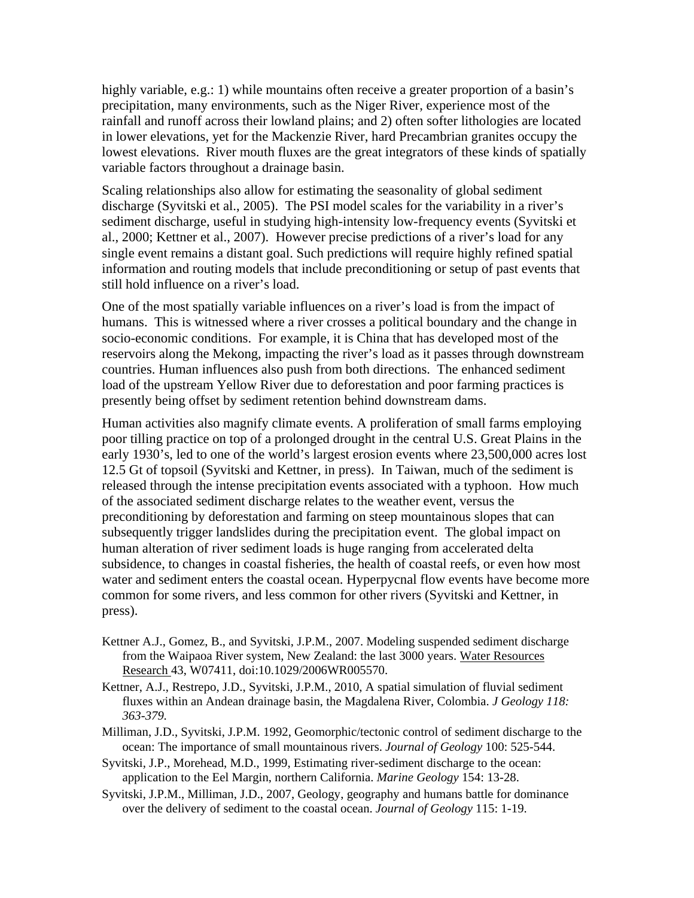highly variable, e.g.: 1) while mountains often receive a greater proportion of a basin's precipitation, many environments, such as the Niger River, experience most of the rainfall and runoff across their lowland plains; and 2) often softer lithologies are located in lower elevations, yet for the Mackenzie River, hard Precambrian granites occupy the lowest elevations. River mouth fluxes are the great integrators of these kinds of spatially variable factors throughout a drainage basin.

Scaling relationships also allow for estimating the seasonality of global sediment discharge (Syvitski et al., 2005). The PSI model scales for the variability in a river's sediment discharge, useful in studying high-intensity low-frequency events (Syvitski et al., 2000; Kettner et al., 2007). However precise predictions of a river's load for any single event remains a distant goal. Such predictions will require highly refined spatial information and routing models that include preconditioning or setup of past events that still hold influence on a river's load.

One of the most spatially variable influences on a river's load is from the impact of humans. This is witnessed where a river crosses a political boundary and the change in socio-economic conditions. For example, it is China that has developed most of the reservoirs along the Mekong, impacting the river's load as it passes through downstream countries. Human influences also push from both directions. The enhanced sediment load of the upstream Yellow River due to deforestation and poor farming practices is presently being offset by sediment retention behind downstream dams.

Human activities also magnify climate events. A proliferation of small farms employing poor tilling practice on top of a prolonged drought in the central U.S. Great Plains in the early 1930's, led to one of the world's largest erosion events where 23,500,000 acres lost 12.5 Gt of topsoil (Syvitski and Kettner, in press). In Taiwan, much of the sediment is released through the intense precipitation events associated with a typhoon. How much of the associated sediment discharge relates to the weather event, versus the preconditioning by deforestation and farming on steep mountainous slopes that can subsequently trigger landslides during the precipitation event. The global impact on human alteration of river sediment loads is huge ranging from accelerated delta subsidence, to changes in coastal fisheries, the health of coastal reefs, or even how most water and sediment enters the coastal ocean. Hyperpycnal flow events have become more common for some rivers, and less common for other rivers (Syvitski and Kettner, in press).

- Kettner A.J., Gomez, B., and Syvitski, J.P.M., 2007. Modeling suspended sediment discharge from the Waipaoa River system, New Zealand: the last 3000 years. Water Resources Research 43, W07411, doi:10.1029/2006WR005570.
- Kettner, A.J., Restrepo, J.D., Syvitski, J.P.M., 2010, A spatial simulation of fluvial sediment fluxes within an Andean drainage basin, the Magdalena River, Colombia. *J Geology 118: 363-379.*
- Milliman, J.D., Syvitski, J.P.M. 1992, Geomorphic/tectonic control of sediment discharge to the ocean: The importance of small mountainous rivers. *Journal of Geology* 100: 525-544.
- Syvitski, J.P., Morehead, M.D., 1999, Estimating river-sediment discharge to the ocean: application to the Eel Margin, northern California. *Marine Geology* 154: 13-28.
- Syvitski, J.P.M., Milliman, J.D., 2007, Geology, geography and humans battle for dominance over the delivery of sediment to the coastal ocean. *Journal of Geology* 115: 1-19.